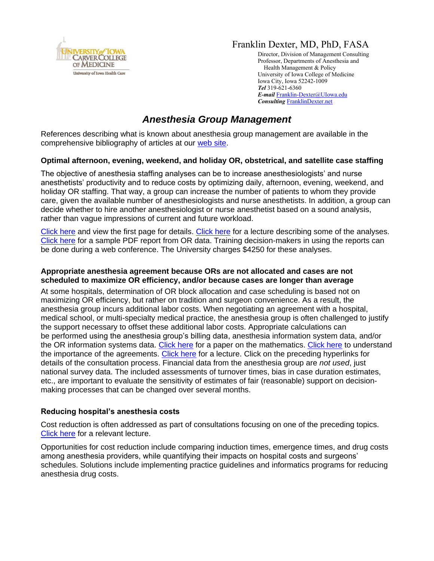

## Franklin Dexter, MD, PhD, FASA

Director, Division of Management Consulting Professor, Departments of Anesthesia and Health Management & Policy University of Iowa College of Medicine Iowa City, Iowa 52242-1009 *Tel* 319-621-6360 *E-mail* [Franklin-Dexter@UIowa.edu](mailto:Franklin-Dexter@UIowa.edu?subject=Anesthesia%20Group%20management) *Consulting* [FranklinDexter.net](https://franklindexter.net/)

# *Anesthesia Group Management*

References describing what is known about anesthesia group management are available in the comprehensive bibliography of articles at our [web site.](https://www.franklindexter.net/bibliography_TOC.htm)

## **Optimal afternoon, evening, weekend, and holiday OR, obstetrical, and satellite case staffing**

The objective of anesthesia staffing analyses can be to increase anesthesiologists' and nurse anesthetists' productivity and to reduce costs by optimizing daily, afternoon, evening, weekend, and holiday OR staffing. That way, a group can increase the number of patients to whom they provide care, given the available number of anesthesiologists and nurse anesthetists. In addition, a group can decide whether to hire another anesthesiologist or nurse anesthetist based on a sound analysis, rather than vague impressions of current and future workload.

[Click here](https://www.franklindexter.net/PDF_Files/orstaffing.pdf) and view the first page for details. [Click here](https://www.franklindexter.net/Lectures/AfternoonStaffingTalk.pdf) for a lecture describing some of the analyses. [Click here](https://www.franklindexter.net/PDF_Files/ORStaffingExampleReport.pdf) for a sample PDF report from OR data. Training decision-makers in using the reports can be done during a web conference. The University charges \$4250 for these analyses.

#### **Appropriate anesthesia agreement because ORs are not allocated and cases are not scheduled to maximize OR efficiency, and/or because cases are longer than average**

At some hospitals, determination of OR block allocation and case scheduling is based not on maximizing OR efficiency, but rather on tradition and surgeon convenience. As a result, the anesthesia group incurs additional labor costs. When negotiating an agreement with a hospital, medical school, or multi-specialty medical practice, the anesthesia group is often challenged to justify the support necessary to offset these additional labor costs. Appropriate calculations can be performed using the anesthesia group's billing data, anesthesia information system data, and/or the OR information systems data. [Click here](https://www.anesthesia-analgesia.org/content/106/2/544.full.pdf+HTML) for a paper on the mathematics. [Click here](https://journals.lww.com/anesthesia-analgesia/pages/articleviewer.aspx?year=2015&issue=12000&article=00018&type=Fulltext) to understand the importance of the agreements. [Click here](https://www.franklindexter.net/Lectures/PhysicianAgreements.pdf) for a lecture. Click on the preceding hyperlinks for details of the consultation process. Financial data from the anesthesia group are *not used*, just national survey data. The included assessments of turnover times, bias in case duration estimates, etc., are important to evaluate the sensitivity of estimates of fair (reasonable) support on decisionmaking processes that can be changed over several months.

#### **Reducing hospital's anesthesia costs**

Cost reduction is often addressed as part of consultations focusing on one of the preceding topics. [Click here](https://www.franklindexter.net/Lectures/DrugCosts.pdf) for a relevant lecture.

Opportunities for cost reduction include comparing induction times, emergence times, and drug costs among anesthesia providers, while quantifying their impacts on hospital costs and surgeons' schedules. Solutions include implementing practice guidelines and informatics programs for reducing anesthesia drug costs.